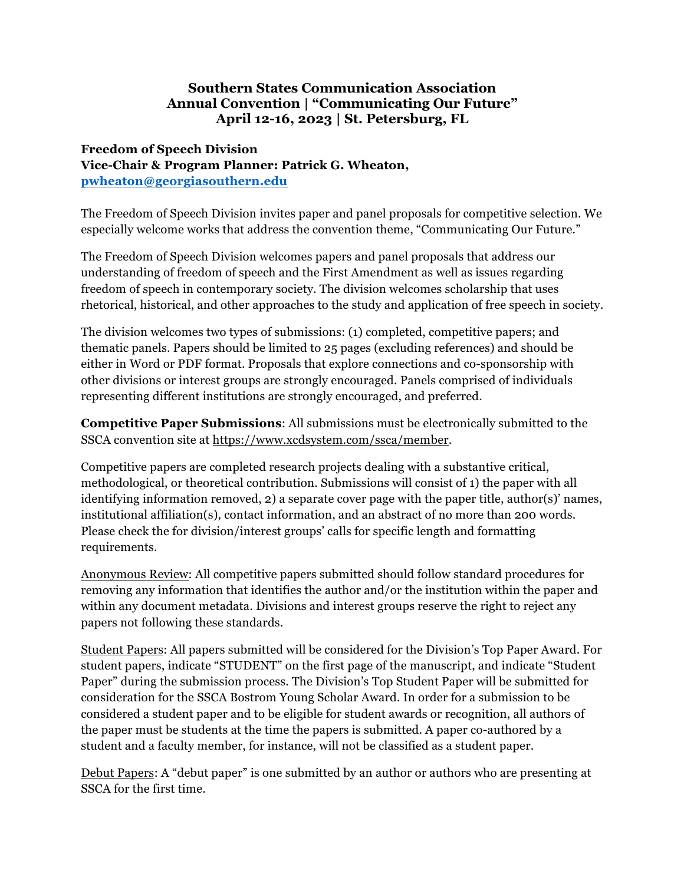## **Southern States Communication Association Annual Convention | "Communicating Our Future" April 12-16, 2023 | St. Petersburg, FL**

## **Freedom of Speech Division Vice-Chair & Program Planner: Patrick G. Wheaton, pwheaton@georgiasouthern.edu**

The Freedom of Speech Division invites paper and panel proposals for competitive selection. We especially welcome works that address the convention theme, "Communicating Our Future."

The Freedom of Speech Division welcomes papers and panel proposals that address our understanding of freedom of speech and the First Amendment as well as issues regarding freedom of speech in contemporary society. The division welcomes scholarship that uses rhetorical, historical, and other approaches to the study and application of free speech in society.

The division welcomes two types of submissions: (1) completed, competitive papers; and thematic panels. Papers should be limited to 25 pages (excluding references) and should be either in Word or PDF format. Proposals that explore connections and co-sponsorship with other divisions or interest groups are strongly encouraged. Panels comprised of individuals representing different institutions are strongly encouraged, and preferred.

**Competitive Paper Submissions**: All submissions must be electronically submitted to the SSCA convention site at https://www.xcdsystem.com/ssca/member.

Competitive papers are completed research projects dealing with a substantive critical, methodological, or theoretical contribution. Submissions will consist of 1) the paper with all identifying information removed, 2) a separate cover page with the paper title, author(s)' names, institutional affiliation(s), contact information, and an abstract of no more than 200 words. Please check the for division/interest groups' calls for specific length and formatting requirements.

Anonymous Review: All competitive papers submitted should follow standard procedures for removing any information that identifies the author and/or the institution within the paper and within any document metadata. Divisions and interest groups reserve the right to reject any papers not following these standards.

Student Papers: All papers submitted will be considered for the Division's Top Paper Award. For student papers, indicate "STUDENT" on the first page of the manuscript, and indicate "Student Paper" during the submission process. The Division's Top Student Paper will be submitted for consideration for the SSCA Bostrom Young Scholar Award. In order for a submission to be considered a student paper and to be eligible for student awards or recognition, all authors of the paper must be students at the time the papers is submitted. A paper co-authored by a student and a faculty member, for instance, will not be classified as a student paper.

Debut Papers: A "debut paper" is one submitted by an author or authors who are presenting at SSCA for the first time.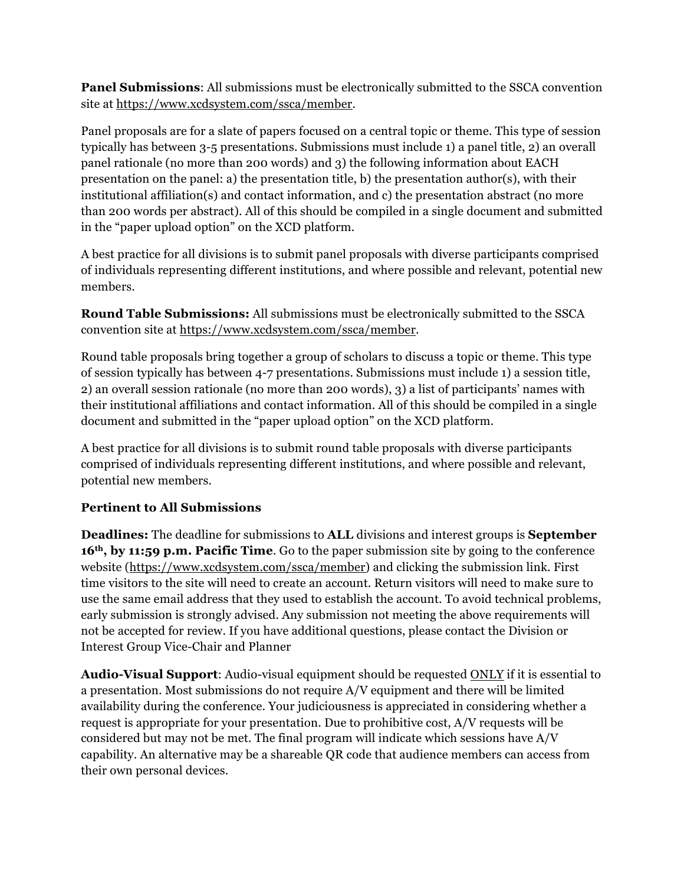**Panel Submissions**: All submissions must be electronically submitted to the SSCA convention site at https://www.xcdsystem.com/ssca/member.

Panel proposals are for a slate of papers focused on a central topic or theme. This type of session typically has between 3-5 presentations. Submissions must include 1) a panel title, 2) an overall panel rationale (no more than 200 words) and 3) the following information about EACH presentation on the panel: a) the presentation title, b) the presentation author(s), with their institutional affiliation(s) and contact information, and c) the presentation abstract (no more than 200 words per abstract). All of this should be compiled in a single document and submitted in the "paper upload option" on the XCD platform.

A best practice for all divisions is to submit panel proposals with diverse participants comprised of individuals representing different institutions, and where possible and relevant, potential new members.

**Round Table Submissions:** All submissions must be electronically submitted to the SSCA convention site at https://www.xcdsystem.com/ssca/member.

Round table proposals bring together a group of scholars to discuss a topic or theme. This type of session typically has between 4-7 presentations. Submissions must include 1) a session title, 2) an overall session rationale (no more than 200 words), 3) a list of participants' names with their institutional affiliations and contact information. All of this should be compiled in a single document and submitted in the "paper upload option" on the XCD platform.

A best practice for all divisions is to submit round table proposals with diverse participants comprised of individuals representing different institutions, and where possible and relevant, potential new members.

## **Pertinent to All Submissions**

**Deadlines:** The deadline for submissions to **ALL** divisions and interest groups is **September 16th, by 11:59 p.m. Pacific Time**. Go to the paper submission site by going to the conference website (https://www.xcdsystem.com/ssca/member) and clicking the submission link. First time visitors to the site will need to create an account. Return visitors will need to make sure to use the same email address that they used to establish the account. To avoid technical problems, early submission is strongly advised. Any submission not meeting the above requirements will not be accepted for review. If you have additional questions, please contact the Division or Interest Group Vice-Chair and Planner

**Audio-Visual Support**: Audio-visual equipment should be requested ONLY if it is essential to a presentation. Most submissions do not require A/V equipment and there will be limited availability during the conference. Your judiciousness is appreciated in considering whether a request is appropriate for your presentation. Due to prohibitive cost, A/V requests will be considered but may not be met. The final program will indicate which sessions have A/V capability. An alternative may be a shareable QR code that audience members can access from their own personal devices.